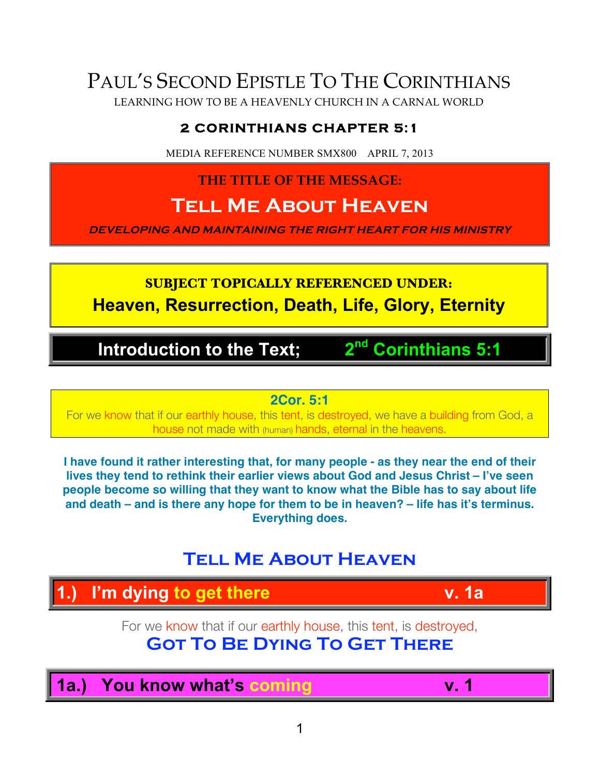# PAUL'S SECOND EPISTLE TO THE CORINTHIANS

LEARNING HOW TO BE A HEAVENLY CHURCH IN A CARNAL WORLD

## **2 CORINTHIANS CHAPTER 5:1**

MEDIA REFERENCE NUMBER SMX800 APRIL 7, 2013

**THE TITLE OF THE MESSAGE:**

# **Tell Me About Heaven**

**DEVELOPING AND MAINTAINING THE RIGHT HEART FOR HIS MINISTRY**

## **SUBJECT TOPICALLY REFERENCED UNDER: Heaven, Resurrection, Death, Life, Glory, Eternity**

## **Introduction to the Text; 2nd Corinthians 5:1**

**2Cor. 5:1**

For we know that if our earthly house, this tent, is destroyed, we have a building from God, a house not made with (human) hands, eternal in the heavens.

**I have found it rather interesting that, for many people - as they near the end of their lives they tend to rethink their earlier views about God and Jesus Christ – I've seen people become so willing that they want to know what the Bible has to say about life and death – and is there any hope for them to be in heaven? – life has it's terminus. Everything does.**

## **Tell Me About Heaven**

## **1.) I'm dying to get there v. 1a**

For we know that if our earthly house, this tent, is destroyed, **Got To Be Dying To Get There**

**1a.) You know what's coming v. 1**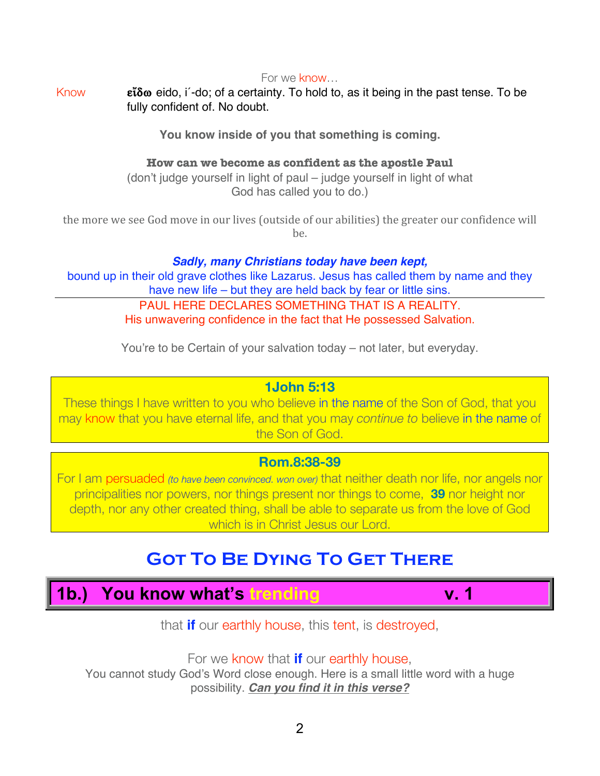For we know…

Know **Eiδω** eido, i -do; of a certainty. To hold to, as it being in the past tense. To be fully confident of. No doubt.

**You know inside of you that something is coming.** 

#### **How can we become as confident as the apostle Paul**

(don't judge yourself in light of paul – judge yourself in light of what God has called you to do.)

the more we see God move in our lives (outside of our abilities) the greater our confidence will be.

*Sadly, many Christians today have been kept,* bound up in their old grave clothes like Lazarus. Jesus has called them by name and they have new life – but they are held back by fear or little sins. PAUL HERE DECLARES SOMETHING THAT IS A REALITY. His unwavering confidence in the fact that He possessed Salvation.

You're to be Certain of your salvation today – not later, but everyday.

#### **1John 5:13**

These things I have written to you who believe in the name of the Son of God, that you may know that you have eternal life, and that you may *continue to* believe in the name of the Son of God.

#### **Rom.8:38-39**

For I am persuaded *(to have been convinced. won over)* that neither death nor life, nor angels nor principalities nor powers, nor things present nor things to come, **39** nor height nor depth, nor any other created thing, shall be able to separate us from the love of God which is in Christ Jesus our Lord.

## **Got To Be Dying To Get There**

# **1b.) You know what's trending v. 1**

that **if** our earthly house, this tent, is destroyed,

For we know that **if** our earthly house,

You cannot study God's Word close enough. Here is a small little word with a huge possibility. *Can you find it in this verse?*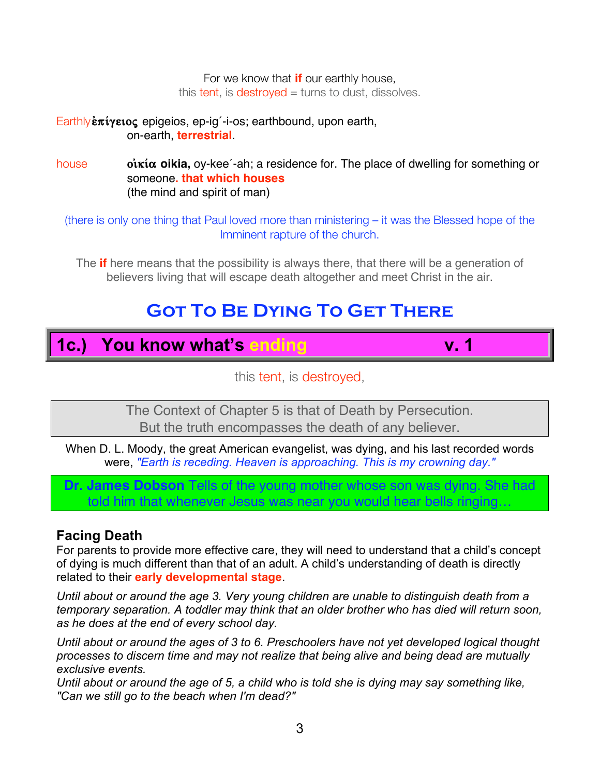For we know that **if** our earthly house, this tent, is destroyed  $=$  turns to dust, dissolves.

Earthly**επίγειος** epigeios, ep-ig<sup>-</sup>i-os; earthbound, upon earth, on-earth, **terrestrial**.

house **oikiα oikia**, oy-kee<sup>'</sup>-ah; a residence for. The place of dwelling for something or someone**. that which houses** (the mind and spirit of man)

(there is only one thing that Paul loved more than ministering – it was the Blessed hope of the Imminent rapture of the church.

The **if** here means that the possibility is always there, that there will be a generation of believers living that will escape death altogether and meet Christ in the air.

## **Got To Be Dying To Get There**

## **1c.) You know what's ending v. 1**

this tent, is destroyed,

The Context of Chapter 5 is that of Death by Persecution. But the truth encompasses the death of any believer.

When D. L. Moody, the great American evangelist, was dying, and his last recorded words were, *"Earth is receding. Heaven is approaching. This is my crowning day."*

**Dr. James Dobson** Tells of the young mother whose son was dying. She had told him that whenever Jesus was near you would hear bells ringing…

#### **Facing Death**

For parents to provide more effective care, they will need to understand that a child's concept of dying is much different than that of an adult. A child's understanding of death is directly related to their **early developmental stage**.

*Until about or around the age 3. Very young children are unable to distinguish death from a temporary separation. A toddler may think that an older brother who has died will return soon, as he does at the end of every school day.*

*Until about or around the ages of 3 to 6. Preschoolers have not yet developed logical thought processes to discern time and may not realize that being alive and being dead are mutually exclusive events.* 

*Until about or around the age of 5, a child who is told she is dying may say something like, "Can we still go to the beach when I'm dead?"*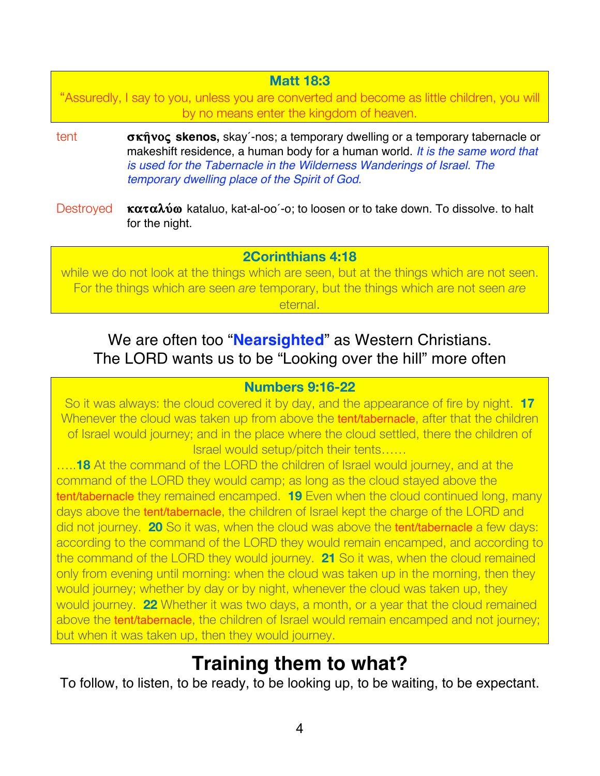#### **Matt 18:3**

"Assuredly, I say to you, unless you are converted and become as little children, you will by no means enter the kingdom of heaven.

- tent **σκήνος skenos**, skay´-nos; a temporary dwelling or a temporary tabernacle or makeshift residence, a human body for a human world. *It is the same word that is used for the Tabernacle in the Wilderness Wanderings of Israel. The temporary dwelling place of the Spirit of God.*
- Destroyed **καταλύω** kataluo, kat-al-oo<sup>-</sup>-o; to loosen or to take down. To dissolve. to halt for the night.

#### **2Corinthians 4:18**

while we do not look at the things which are seen, but at the things which are not seen. For the things which are seen *are* temporary, but the things which are not seen *are* eternal.

## We are often too "**Nearsighted**" as Western Christians. The LORD wants us to be "Looking over the hill" more often

#### **Numbers 9:16-22**

So it was always: the cloud covered it by day, and the appearance of fire by night. **17** Whenever the cloud was taken up from above the **tent/tabernacle**, after that the children of Israel would journey; and in the place where the cloud settled, there the children of Israel would setup/pitch their tents……

…..**18** At the command of the LORD the children of Israel would journey, and at the command of the LORD they would camp; as long as the cloud stayed above the tent/tabernacle they remained encamped. **19** Even when the cloud continued long, many days above the **tent/tabernacle**, the children of Israel kept the charge of the LORD and did not journey. **20** So it was, when the cloud was above the tent/tabernacle a few days: according to the command of the LORD they would remain encamped, and according to the command of the LORD they would journey. **21** So it was, when the cloud remained only from evening until morning: when the cloud was taken up in the morning, then they would journey; whether by day or by night, whenever the cloud was taken up, they would journey. **22** Whether it was two days, a month, or a year that the cloud remained above the tent/tabernacle, the children of Israel would remain encamped and not journey; but when it was taken up, then they would journey.

# **Training them to what?**

To follow, to listen, to be ready, to be looking up, to be waiting, to be expectant.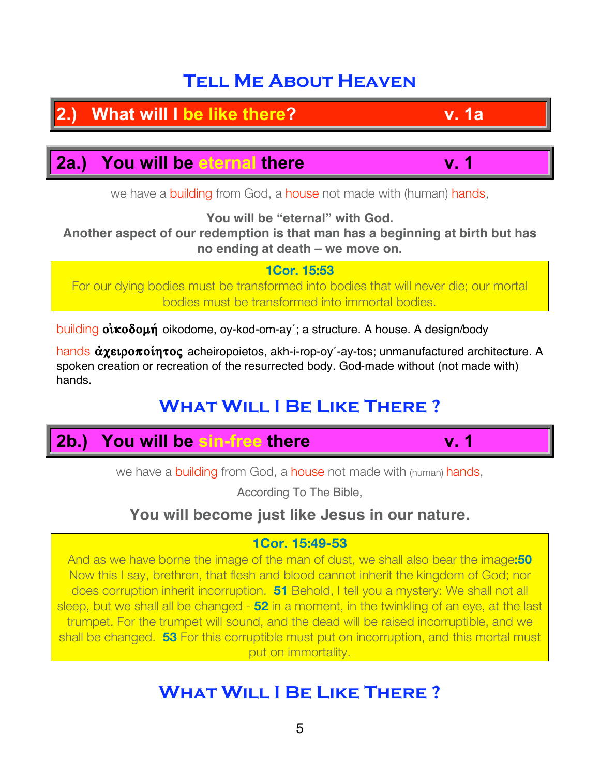## **Tell Me About Heaven**

**2.13 2.13 2.13 2.13 2.14 2.25 2.25 2.25 2.25 2.25 2.25 2.25 2.25** 

**2a.) You will be eternal there v. 1**

we have a building from God, a house not made with (human) hands,

**You will be "eternal" with God.**

**Another aspect of our redemption is that man has a beginning at birth but has no ending at death – we move on.**

**1Cor. 15:53** For our dying bodies must be transformed into bodies that will never die; our mortal bodies must be transformed into immortal bodies.

building **oikoooun** oikodome, oy-kod-om-ay´; a structure. A house. A design/body

hands  $\alpha$ *xetooπoinτoς* acheiropoietos, akh-i-rop-oy´-ay-tos; unmanufactured architecture. A spoken creation or recreation of the resurrected body. God-made without (not made with) hands.

# **What Will I Be Like There ?**

|  | 2b.) You will be sin-free there |  |  |
|--|---------------------------------|--|--|
|--|---------------------------------|--|--|

we have a building from God, a house not made with (human) hands,

According To The Bible,

## **You will become just like Jesus in our nature.**

### **1Cor. 15:49-53**

And as we have borne the image of the man of dust, we shall also bear the image**:50** Now this I say, brethren, that flesh and blood cannot inherit the kingdom of God; nor does corruption inherit incorruption. **51** Behold, I tell you a mystery: We shall not all sleep, but we shall all be changed - **52** in a moment, in the twinkling of an eye, at the last trumpet. For the trumpet will sound, and the dead will be raised incorruptible, and we shall be changed. **53** For this corruptible must put on incorruption, and this mortal must put on immortality.

## **What Will I Be Like There ?**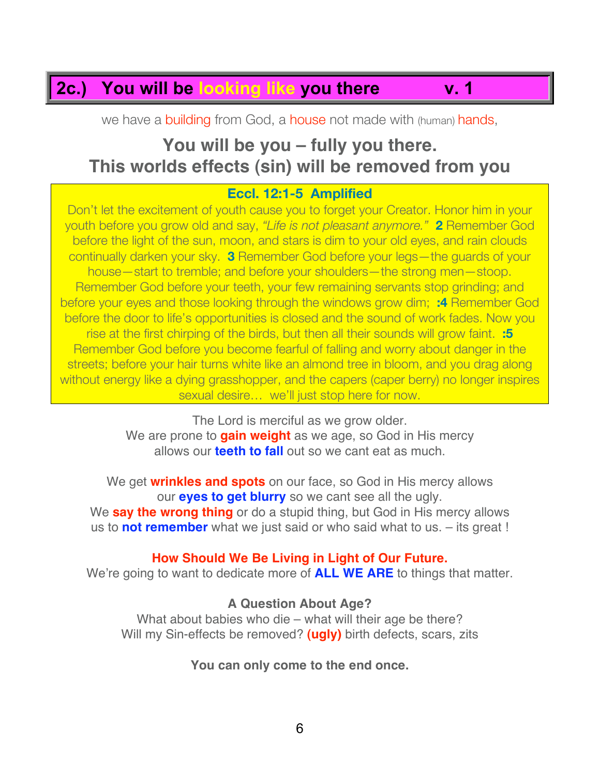## **2c.) You will be looking like you there v. 1**

we have a building from God, a house not made with (human) hands,

## **You will be you – fully you there. This worlds effects (sin) will be removed from you**

#### **Eccl. 12:1-5 Amplified**

Don't let the excitement of youth cause you to forget your Creator. Honor him in your youth before you grow old and say, *"Life is not pleasant anymore."* **2** Remember God before the light of the sun, moon, and stars is dim to your old eyes, and rain clouds continually darken your sky. **3** Remember God before your legs—the guards of your house—start to tremble; and before your shoulders—the strong men—stoop. Remember God before your teeth, your few remaining servants stop grinding; and before your eyes and those looking through the windows grow dim; **:4** Remember God before the door to life's opportunities is closed and the sound of work fades. Now you rise at the first chirping of the birds, but then all their sounds will grow faint. **:5** Remember God before you become fearful of falling and worry about danger in the streets; before your hair turns white like an almond tree in bloom, and you drag along without energy like a dying grasshopper, and the capers (caper berry) no longer inspires sexual desire… we'll just stop here for now.

> The Lord is merciful as we grow older. We are prone to **gain weight** as we age, so God in His mercy allows our **teeth to fall** out so we cant eat as much.

We get **wrinkles and spots** on our face, so God in His mercy allows our **eyes to get blurry** so we cant see all the ugly. We **say the wrong thing** or do a stupid thing, but God in His mercy allows us to **not remember** what we just said or who said what to us. – its great !

#### **How Should We Be Living in Light of Our Future.**

We're going to want to dedicate more of **ALL WE ARE** to things that matter.

#### **A Question About Age?**

What about babies who die – what will their age be there? Will my Sin-effects be removed? **(ugly)** birth defects, scars, zits

**You can only come to the end once.**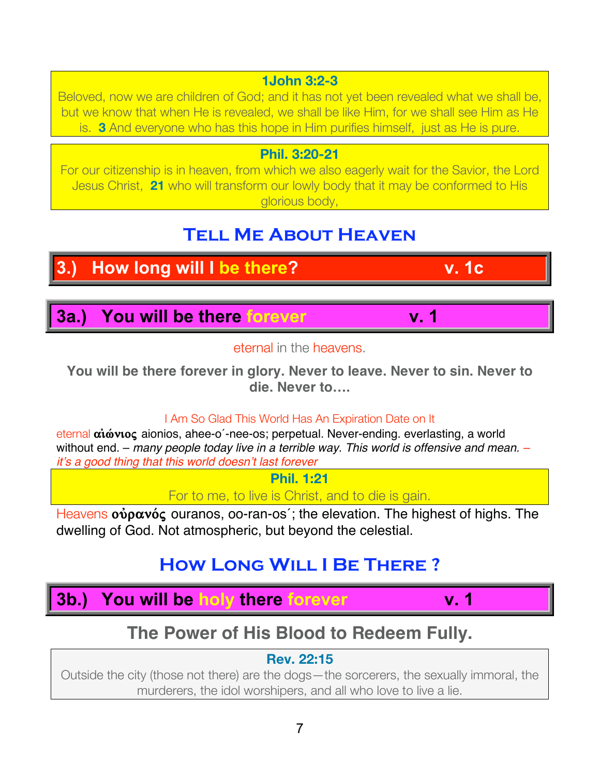#### **1John 3:2-3**

Beloved, now we are children of God; and it has not yet been revealed what we shall be, but we know that when He is revealed, we shall be like Him, for we shall see Him as He is. **3** And everyone who has this hope in Him purifies himself, just as He is pure.

#### **Phil. 3:20-21**

For our citizenship is in heaven, from which we also eagerly wait for the Savior, the Lord Jesus Christ, **21** who will transform our lowly body that it may be conformed to His glorious body,

## **Tell Me About Heaven**

# **3.)** How long will I be there? **v. 1c**

**3a.) You will be there forever v. 1**

#### eternal in the heavens.

**You will be there forever in glory. Never to leave. Never to sin. Never to die. Never to….**

#### I Am So Glad This World Has An Expiration Date on It

eternal αιώνιος aionios, ahee-o<sup>-</sup>-nee-os; perpetual. Never-ending. everlasting, a world without end. – *many people today live in a terrible way. This world is offensive and mean. – it*'*s a good thing that this world doesn*'*t last forever*

**Phil. 1:21**

For to me, to live is Christ, and to die is gain.

Heavens **ούρανός** ouranos, oo-ran-os<sup>2</sup>; the elevation. The highest of highs. The dwelling of God. Not atmospheric, but beyond the celestial.

## **How Long Will I Be There ?**

**3b.) You will be holy there forever v. 1**

## **The Power of His Blood to Redeem Fully.**

### **Rev. 22:15**

Outside the city (those not there) are the dogs—the sorcerers, the sexually immoral, the murderers, the idol worshipers, and all who love to live a lie.